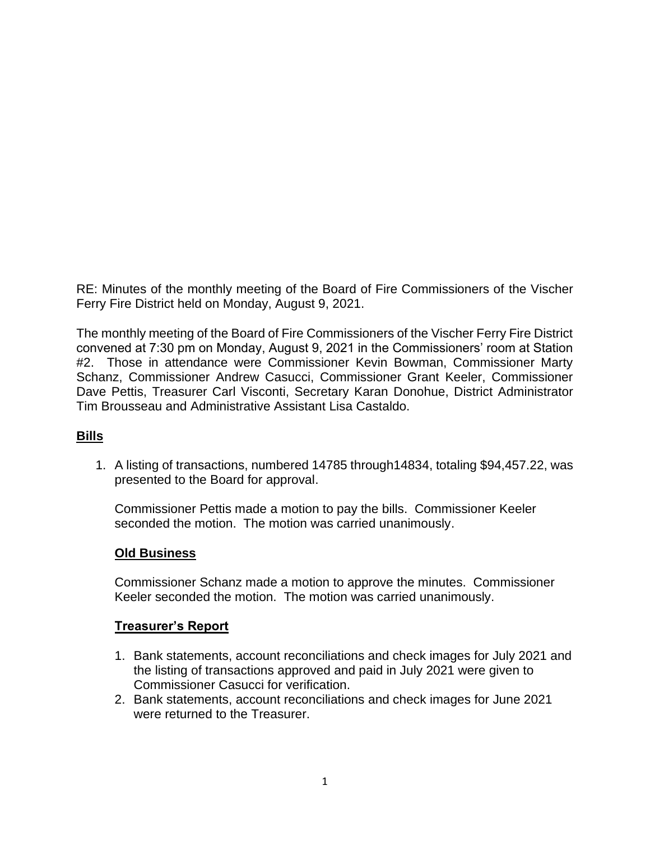RE: Minutes of the monthly meeting of the Board of Fire Commissioners of the Vischer Ferry Fire District held on Monday, August 9, 2021.

The monthly meeting of the Board of Fire Commissioners of the Vischer Ferry Fire District convened at 7:30 pm on Monday, August 9, 2021 in the Commissioners' room at Station #2. Those in attendance were Commissioner Kevin Bowman, Commissioner Marty Schanz, Commissioner Andrew Casucci, Commissioner Grant Keeler, Commissioner Dave Pettis, Treasurer Carl Visconti, Secretary Karan Donohue, District Administrator Tim Brousseau and Administrative Assistant Lisa Castaldo.

# **Bills**

1. A listing of transactions, numbered 14785 through14834, totaling \$94,457.22, was presented to the Board for approval.

Commissioner Pettis made a motion to pay the bills. Commissioner Keeler seconded the motion. The motion was carried unanimously.

### **Old Business**

Commissioner Schanz made a motion to approve the minutes. Commissioner Keeler seconded the motion. The motion was carried unanimously.

### **Treasurer's Report**

- 1. Bank statements, account reconciliations and check images for July 2021 and the listing of transactions approved and paid in July 2021 were given to Commissioner Casucci for verification.
- 2. Bank statements, account reconciliations and check images for June 2021 were returned to the Treasurer.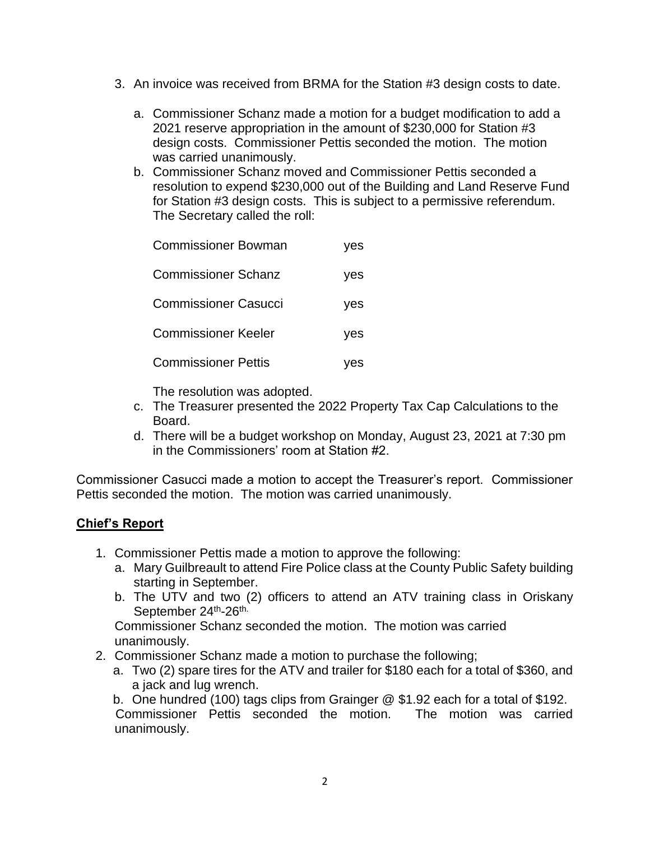- 3. An invoice was received from BRMA for the Station #3 design costs to date.
	- a. Commissioner Schanz made a motion for a budget modification to add a 2021 reserve appropriation in the amount of \$230,000 for Station #3 design costs. Commissioner Pettis seconded the motion. The motion was carried unanimously.
	- b. Commissioner Schanz moved and Commissioner Pettis seconded a resolution to expend \$230,000 out of the Building and Land Reserve Fund for Station #3 design costs. This is subject to a permissive referendum. The Secretary called the roll:

| <b>Commissioner Bowman</b>  | yes |
|-----------------------------|-----|
| <b>Commissioner Schanz</b>  | yes |
| <b>Commissioner Casucci</b> | yes |
| <b>Commissioner Keeler</b>  | yes |
| <b>Commissioner Pettis</b>  | ves |

The resolution was adopted.

- c. The Treasurer presented the 2022 Property Tax Cap Calculations to the Board.
- d. There will be a budget workshop on Monday, August 23, 2021 at 7:30 pm in the Commissioners' room at Station #2.

Commissioner Casucci made a motion to accept the Treasurer's report. Commissioner Pettis seconded the motion. The motion was carried unanimously.

# **Chief's Report**

- 1. Commissioner Pettis made a motion to approve the following:
	- a. Mary Guilbreault to attend Fire Police class at the County Public Safety building starting in September.
	- b. The UTV and two (2) officers to attend an ATV training class in Oriskany September 24<sup>th</sup>-26<sup>th.</sup>

Commissioner Schanz seconded the motion. The motion was carried unanimously.

- 2. Commissioner Schanz made a motion to purchase the following;
	- a. Two (2) spare tires for the ATV and trailer for \$180 each for a total of \$360, and a jack and lug wrench.

b. One hundred (100) tags clips from Grainger @ \$1.92 each for a total of \$192. Commissioner Pettis seconded the motion. The motion was carried unanimously.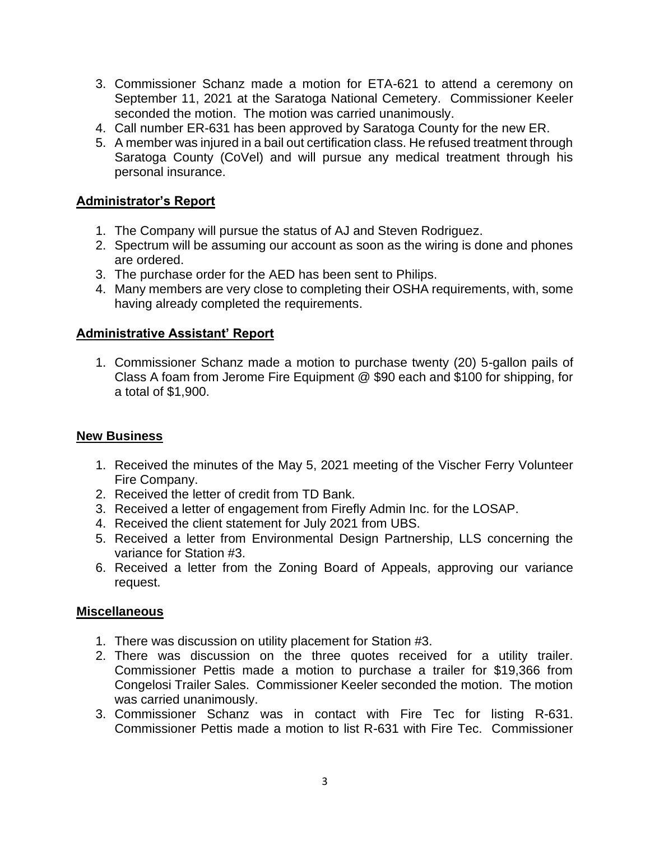- 3. Commissioner Schanz made a motion for ETA-621 to attend a ceremony on September 11, 2021 at the Saratoga National Cemetery. Commissioner Keeler seconded the motion. The motion was carried unanimously.
- 4. Call number ER-631 has been approved by Saratoga County for the new ER.
- 5. A member was injured in a bail out certification class. He refused treatment through Saratoga County (CoVel) and will pursue any medical treatment through his personal insurance.

# **Administrator's Report**

- 1. The Company will pursue the status of AJ and Steven Rodriguez.
- 2. Spectrum will be assuming our account as soon as the wiring is done and phones are ordered.
- 3. The purchase order for the AED has been sent to Philips.
- 4. Many members are very close to completing their OSHA requirements, with, some having already completed the requirements.

## **Administrative Assistant' Report**

1. Commissioner Schanz made a motion to purchase twenty (20) 5-gallon pails of Class A foam from Jerome Fire Equipment @ \$90 each and \$100 for shipping, for a total of \$1,900.

### **New Business**

- 1. Received the minutes of the May 5, 2021 meeting of the Vischer Ferry Volunteer Fire Company.
- 2. Received the letter of credit from TD Bank.
- 3. Received a letter of engagement from Firefly Admin Inc. for the LOSAP.
- 4. Received the client statement for July 2021 from UBS.
- 5. Received a letter from Environmental Design Partnership, LLS concerning the variance for Station #3.
- 6. Received a letter from the Zoning Board of Appeals, approving our variance request.

### **Miscellaneous**

- 1. There was discussion on utility placement for Station #3.
- 2. There was discussion on the three quotes received for a utility trailer. Commissioner Pettis made a motion to purchase a trailer for \$19,366 from Congelosi Trailer Sales. Commissioner Keeler seconded the motion. The motion was carried unanimously.
- 3. Commissioner Schanz was in contact with Fire Tec for listing R-631. Commissioner Pettis made a motion to list R-631 with Fire Tec. Commissioner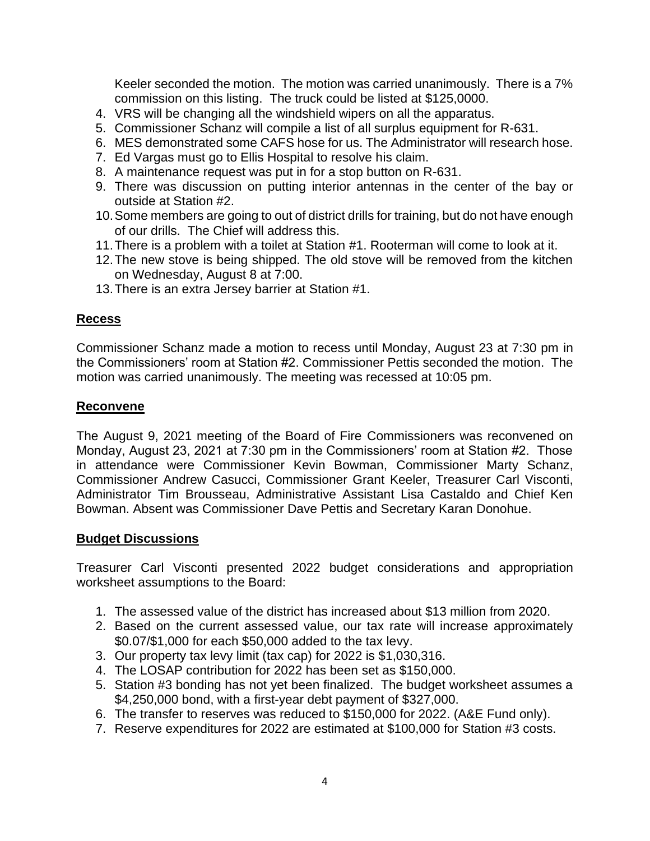Keeler seconded the motion. The motion was carried unanimously. There is a 7% commission on this listing. The truck could be listed at \$125,0000.

- 4. VRS will be changing all the windshield wipers on all the apparatus.
- 5. Commissioner Schanz will compile a list of all surplus equipment for R-631.
- 6. MES demonstrated some CAFS hose for us. The Administrator will research hose.
- 7. Ed Vargas must go to Ellis Hospital to resolve his claim.
- 8. A maintenance request was put in for a stop button on R-631.
- 9. There was discussion on putting interior antennas in the center of the bay or outside at Station #2.
- 10.Some members are going to out of district drills for training, but do not have enough of our drills. The Chief will address this.
- 11.There is a problem with a toilet at Station #1. Rooterman will come to look at it.
- 12.The new stove is being shipped. The old stove will be removed from the kitchen on Wednesday, August 8 at 7:00.
- 13.There is an extra Jersey barrier at Station #1.

### **Recess**

Commissioner Schanz made a motion to recess until Monday, August 23 at 7:30 pm in the Commissioners' room at Station #2. Commissioner Pettis seconded the motion. The motion was carried unanimously. The meeting was recessed at 10:05 pm.

### **Reconvene**

The August 9, 2021 meeting of the Board of Fire Commissioners was reconvened on Monday, August 23, 2021 at 7:30 pm in the Commissioners' room at Station #2. Those in attendance were Commissioner Kevin Bowman, Commissioner Marty Schanz, Commissioner Andrew Casucci, Commissioner Grant Keeler, Treasurer Carl Visconti, Administrator Tim Brousseau, Administrative Assistant Lisa Castaldo and Chief Ken Bowman. Absent was Commissioner Dave Pettis and Secretary Karan Donohue.

#### **Budget Discussions**

Treasurer Carl Visconti presented 2022 budget considerations and appropriation worksheet assumptions to the Board:

- 1. The assessed value of the district has increased about \$13 million from 2020.
- 2. Based on the current assessed value, our tax rate will increase approximately \$0.07/\$1,000 for each \$50,000 added to the tax levy.
- 3. Our property tax levy limit (tax cap) for 2022 is \$1,030,316.
- 4. The LOSAP contribution for 2022 has been set as \$150,000.
- 5. Station #3 bonding has not yet been finalized. The budget worksheet assumes a \$4,250,000 bond, with a first-year debt payment of \$327,000.
- 6. The transfer to reserves was reduced to \$150,000 for 2022. (A&E Fund only).
- 7. Reserve expenditures for 2022 are estimated at \$100,000 for Station #3 costs.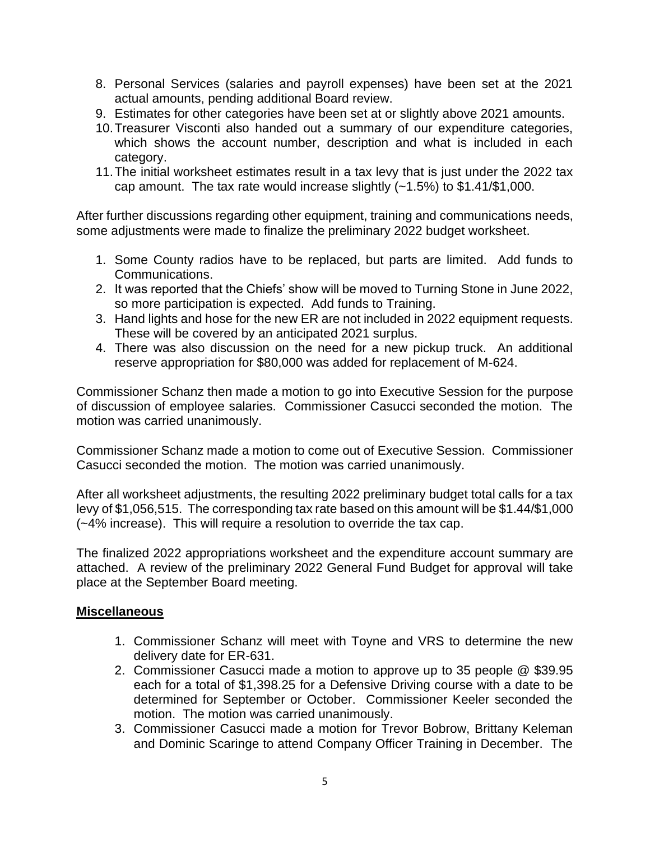- 8. Personal Services (salaries and payroll expenses) have been set at the 2021 actual amounts, pending additional Board review.
- 9. Estimates for other categories have been set at or slightly above 2021 amounts.
- 10.Treasurer Visconti also handed out a summary of our expenditure categories, which shows the account number, description and what is included in each category.
- 11.The initial worksheet estimates result in a tax levy that is just under the 2022 tax cap amount. The tax rate would increase slightly  $(-1.5%)$  to \$1.41/\$1,000.

After further discussions regarding other equipment, training and communications needs, some adjustments were made to finalize the preliminary 2022 budget worksheet.

- 1. Some County radios have to be replaced, but parts are limited. Add funds to Communications.
- 2. It was reported that the Chiefs' show will be moved to Turning Stone in June 2022, so more participation is expected. Add funds to Training.
- 3. Hand lights and hose for the new ER are not included in 2022 equipment requests. These will be covered by an anticipated 2021 surplus.
- 4. There was also discussion on the need for a new pickup truck. An additional reserve appropriation for \$80,000 was added for replacement of M-624.

Commissioner Schanz then made a motion to go into Executive Session for the purpose of discussion of employee salaries. Commissioner Casucci seconded the motion. The motion was carried unanimously.

Commissioner Schanz made a motion to come out of Executive Session. Commissioner Casucci seconded the motion. The motion was carried unanimously.

After all worksheet adjustments, the resulting 2022 preliminary budget total calls for a tax levy of \$1,056,515. The corresponding tax rate based on this amount will be \$1.44/\$1,000 (~4% increase). This will require a resolution to override the tax cap.

The finalized 2022 appropriations worksheet and the expenditure account summary are attached. A review of the preliminary 2022 General Fund Budget for approval will take place at the September Board meeting.

### **Miscellaneous**

- 1. Commissioner Schanz will meet with Toyne and VRS to determine the new delivery date for ER-631.
- 2. Commissioner Casucci made a motion to approve up to 35 people @ \$39.95 each for a total of \$1,398.25 for a Defensive Driving course with a date to be determined for September or October. Commissioner Keeler seconded the motion. The motion was carried unanimously.
- 3. Commissioner Casucci made a motion for Trevor Bobrow, Brittany Keleman and Dominic Scaringe to attend Company Officer Training in December. The